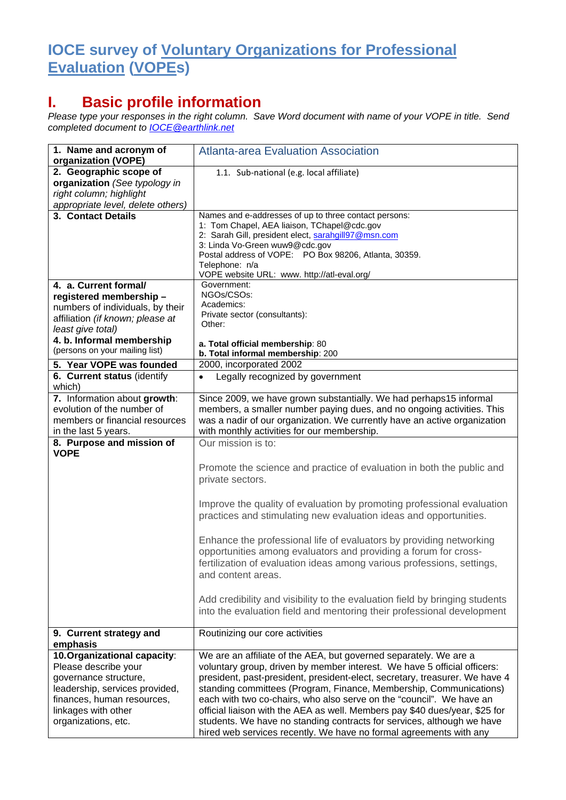## **IOCE survey of Voluntary Organizations for Professional Evaluation (VOPEs)**

## **I. Basic profile information**

*Please type your responses in the right column. Save Word document with name of your VOPE in title. Send completed document to [IOCE@earthlink.net](mailto:IOCE@earthlink.net)*

| 1. Name and acronym of<br>organization (VOPE)                                                                                                                                                               | <b>Atlanta-area Evaluation Association</b>                                                                                                                                                                                                                                                                                                                                                                                                                                                                                                                                                                |
|-------------------------------------------------------------------------------------------------------------------------------------------------------------------------------------------------------------|-----------------------------------------------------------------------------------------------------------------------------------------------------------------------------------------------------------------------------------------------------------------------------------------------------------------------------------------------------------------------------------------------------------------------------------------------------------------------------------------------------------------------------------------------------------------------------------------------------------|
| 2. Geographic scope of<br>organization (See typology in<br>right column; highlight<br>appropriate level, delete others)                                                                                     | 1.1. Sub-national (e.g. local affiliate)                                                                                                                                                                                                                                                                                                                                                                                                                                                                                                                                                                  |
| 3. Contact Details                                                                                                                                                                                          | Names and e-addresses of up to three contact persons:<br>1: Tom Chapel, AEA liaison, TChapel@cdc.gov<br>2: Sarah Gill, president elect, sarahgill97@msn.com<br>3: Linda Vo-Green wuw9@cdc.gov<br>Postal address of VOPE: PO Box 98206, Atlanta, 30359.<br>Telephone: n/a<br>VOPE website URL: www. http://atl-eval.org/                                                                                                                                                                                                                                                                                   |
| 4. a. Current formal/<br>registered membership-<br>numbers of individuals, by their<br>affiliation (if known; please at<br>least give total)<br>4. b. Informal membership<br>(persons on your mailing list) | Government:<br>NGOs/CSOs:<br>Academics:<br>Private sector (consultants):<br>Other:<br>a. Total official membership: 80<br>b. Total informal membership: 200                                                                                                                                                                                                                                                                                                                                                                                                                                               |
| 5. Year VOPE was founded                                                                                                                                                                                    | 2000, incorporated 2002                                                                                                                                                                                                                                                                                                                                                                                                                                                                                                                                                                                   |
| 6. Current status (identify<br>which)                                                                                                                                                                       | Legally recognized by government                                                                                                                                                                                                                                                                                                                                                                                                                                                                                                                                                                          |
| 7. Information about growth:<br>evolution of the number of<br>members or financial resources<br>in the last 5 years.                                                                                        | Since 2009, we have grown substantially. We had perhaps15 informal<br>members, a smaller number paying dues, and no ongoing activities. This<br>was a nadir of our organization. We currently have an active organization<br>with monthly activities for our membership.                                                                                                                                                                                                                                                                                                                                  |
| 8. Purpose and mission of                                                                                                                                                                                   | Our mission is to:                                                                                                                                                                                                                                                                                                                                                                                                                                                                                                                                                                                        |
| <b>VOPE</b>                                                                                                                                                                                                 | Promote the science and practice of evaluation in both the public and<br>private sectors.                                                                                                                                                                                                                                                                                                                                                                                                                                                                                                                 |
|                                                                                                                                                                                                             | Improve the quality of evaluation by promoting professional evaluation<br>practices and stimulating new evaluation ideas and opportunities.                                                                                                                                                                                                                                                                                                                                                                                                                                                               |
|                                                                                                                                                                                                             | Enhance the professional life of evaluators by providing networking<br>opportunities among evaluators and providing a forum for cross-<br>fertilization of evaluation ideas among various professions, settings,<br>and content areas.                                                                                                                                                                                                                                                                                                                                                                    |
|                                                                                                                                                                                                             | Add credibility and visibility to the evaluation field by bringing students<br>into the evaluation field and mentoring their professional development                                                                                                                                                                                                                                                                                                                                                                                                                                                     |
| 9. Current strategy and<br>emphasis                                                                                                                                                                         | Routinizing our core activities                                                                                                                                                                                                                                                                                                                                                                                                                                                                                                                                                                           |
| 10. Organizational capacity:<br>Please describe your<br>governance structure,<br>leadership, services provided,<br>finances, human resources,<br>linkages with other<br>organizations, etc.                 | We are an affiliate of the AEA, but governed separately. We are a<br>voluntary group, driven by member interest. We have 5 official officers:<br>president, past-president, president-elect, secretary, treasurer. We have 4<br>standing committees (Program, Finance, Membership, Communications)<br>each with two co-chairs, who also serve on the "council". We have an<br>official liaison with the AEA as well. Members pay \$40 dues/year, \$25 for<br>students. We have no standing contracts for services, although we have<br>hired web services recently. We have no formal agreements with any |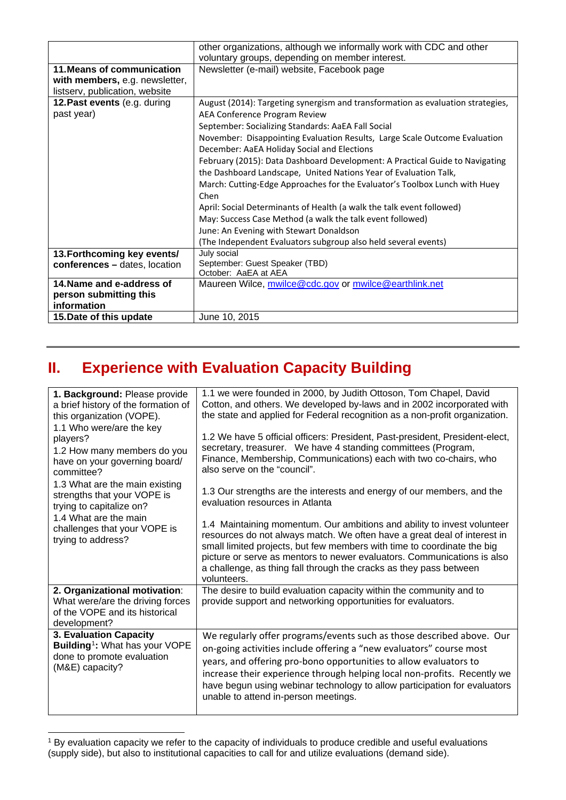|                                | other organizations, although we informally work with CDC and other             |
|--------------------------------|---------------------------------------------------------------------------------|
|                                | voluntary groups, depending on member interest.                                 |
| 11. Means of communication     | Newsletter (e-mail) website, Facebook page                                      |
| with members, e.g. newsletter, |                                                                                 |
| listserv, publication, website |                                                                                 |
| 12. Past events (e.g. during   | August (2014): Targeting synergism and transformation as evaluation strategies, |
| past year)                     | AEA Conference Program Review                                                   |
|                                | September: Socializing Standards: AaEA Fall Social                              |
|                                | November: Disappointing Evaluation Results, Large Scale Outcome Evaluation      |
|                                | December: AaEA Holiday Social and Elections                                     |
|                                | February (2015): Data Dashboard Development: A Practical Guide to Navigating    |
|                                | the Dashboard Landscape, United Nations Year of Evaluation Talk,                |
|                                | March: Cutting-Edge Approaches for the Evaluator's Toolbox Lunch with Huey      |
|                                | Chen                                                                            |
|                                | April: Social Determinants of Health (a walk the talk event followed)           |
|                                | May: Success Case Method (a walk the talk event followed)                       |
|                                | June: An Evening with Stewart Donaldson                                         |
|                                | (The Independent Evaluators subgroup also held several events)                  |
| 13. Forthcoming key events/    | July social                                                                     |
| conferences - dates, location  | September: Guest Speaker (TBD)                                                  |
|                                | October: AaEA at AEA                                                            |
| 14. Name and e-address of      | Maureen Wilce, mwilce@cdc.gov or mwilce@earthlink.net                           |
| person submitting this         |                                                                                 |
| information                    |                                                                                 |
| 15. Date of this update        | June 10, 2015                                                                   |

## **II. Experience with Evaluation Capacity Building**

| 1. Background: Please provide<br>a brief history of the formation of<br>this organization (VOPE).<br>1.1 Who were/are the key<br>players?<br>1.2 How many members do you<br>have on your governing board/<br>committee? | 1.1 we were founded in 2000, by Judith Ottoson, Tom Chapel, David<br>Cotton, and others. We developed by-laws and in 2002 incorporated with<br>the state and applied for Federal recognition as a non-profit organization.                                                                                                                                                                                         |
|-------------------------------------------------------------------------------------------------------------------------------------------------------------------------------------------------------------------------|--------------------------------------------------------------------------------------------------------------------------------------------------------------------------------------------------------------------------------------------------------------------------------------------------------------------------------------------------------------------------------------------------------------------|
|                                                                                                                                                                                                                         | 1.2 We have 5 official officers: President, Past-president, President-elect,<br>secretary, treasurer. We have 4 standing committees (Program,<br>Finance, Membership, Communications) each with two co-chairs, who<br>also serve on the "council".                                                                                                                                                                 |
| 1.3 What are the main existing<br>strengths that your VOPE is<br>trying to capitalize on?                                                                                                                               | 1.3 Our strengths are the interests and energy of our members, and the<br>evaluation resources in Atlanta                                                                                                                                                                                                                                                                                                          |
| 1.4 What are the main<br>challenges that your VOPE is<br>trying to address?                                                                                                                                             | 1.4 Maintaining momentum. Our ambitions and ability to invest volunteer<br>resources do not always match. We often have a great deal of interest in<br>small limited projects, but few members with time to coordinate the big<br>picture or serve as mentors to newer evaluators. Communications is also<br>a challenge, as thing fall through the cracks as they pass between<br>volunteers.                     |
| 2. Organizational motivation:<br>What were/are the driving forces<br>of the VOPE and its historical<br>development?                                                                                                     | The desire to build evaluation capacity within the community and to<br>provide support and networking opportunities for evaluators.                                                                                                                                                                                                                                                                                |
| 3. Evaluation Capacity<br>Building <sup>1</sup> : What has your VOPE<br>done to promote evaluation<br>(M&E) capacity?                                                                                                   | We regularly offer programs/events such as those described above. Our<br>on-going activities include offering a "new evaluators" course most<br>years, and offering pro-bono opportunities to allow evaluators to<br>increase their experience through helping local non-profits. Recently we<br>have begun using webinar technology to allow participation for evaluators<br>unable to attend in-person meetings. |

<span id="page-1-0"></span><sup>&</sup>lt;sup>1</sup> By evaluation capacity we refer to the capacity of individuals to produce credible and useful evaluations (supply side), but also to institutional capacities to call for and utilize evaluations (demand side). j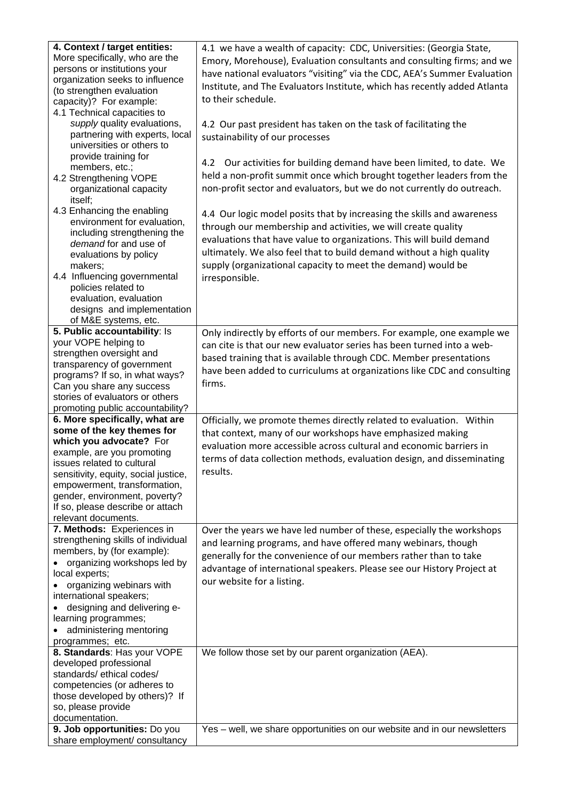| 4. Context / target entities:                                 | 4.1 we have a wealth of capacity: CDC, Universities: (Georgia State,      |
|---------------------------------------------------------------|---------------------------------------------------------------------------|
| More specifically, who are the                                | Emory, Morehouse), Evaluation consultants and consulting firms; and we    |
| persons or institutions your                                  | have national evaluators "visiting" via the CDC, AEA's Summer Evaluation  |
| organization seeks to influence                               |                                                                           |
| (to strengthen evaluation                                     | Institute, and The Evaluators Institute, which has recently added Atlanta |
| capacity)? For example:                                       | to their schedule.                                                        |
| 4.1 Technical capacities to                                   |                                                                           |
| supply quality evaluations,                                   | 4.2 Our past president has taken on the task of facilitating the          |
| partnering with experts, local                                | sustainability of our processes                                           |
| universities or others to                                     |                                                                           |
| provide training for                                          |                                                                           |
| members, etc.;                                                | 4.2 Our activities for building demand have been limited, to date. We     |
| 4.2 Strengthening VOPE                                        | held a non-profit summit once which brought together leaders from the     |
| organizational capacity                                       | non-profit sector and evaluators, but we do not currently do outreach.    |
| itself;                                                       |                                                                           |
| 4.3 Enhancing the enabling                                    | 4.4 Our logic model posits that by increasing the skills and awareness    |
| environment for evaluation,                                   | through our membership and activities, we will create quality             |
| including strengthening the                                   | evaluations that have value to organizations. This will build demand      |
| demand for and use of                                         |                                                                           |
| evaluations by policy                                         | ultimately. We also feel that to build demand without a high quality      |
| makers;                                                       | supply (organizational capacity to meet the demand) would be              |
| 4.4 Influencing governmental                                  | irresponsible.                                                            |
| policies related to                                           |                                                                           |
| evaluation, evaluation                                        |                                                                           |
| designs and implementation                                    |                                                                           |
| of M&E systems, etc.                                          |                                                                           |
| 5. Public accountability: Is                                  | Only indirectly by efforts of our members. For example, one example we    |
| your VOPE helping to                                          | can cite is that our new evaluator series has been turned into a web-     |
| strengthen oversight and                                      | based training that is available through CDC. Member presentations        |
| transparency of government                                    | have been added to curriculums at organizations like CDC and consulting   |
| programs? If so, in what ways?                                | firms.                                                                    |
| Can you share any success                                     |                                                                           |
|                                                               |                                                                           |
| stories of evaluators or others                               |                                                                           |
| promoting public accountability?                              |                                                                           |
| 6. More specifically, what are                                | Officially, we promote themes directly related to evaluation. Within      |
| some of the key themes for                                    | that context, many of our workshops have emphasized making                |
| which you advocate? For                                       | evaluation more accessible across cultural and economic barriers in       |
| example, are you promoting                                    | terms of data collection methods, evaluation design, and disseminating    |
| issues related to cultural                                    |                                                                           |
| sensitivity, equity, social justice,                          | results.                                                                  |
| empowerment, transformation,                                  |                                                                           |
| gender, environment, poverty?                                 |                                                                           |
| If so, please describe or attach                              |                                                                           |
| relevant documents.                                           |                                                                           |
| 7. Methods: Experiences in                                    | Over the years we have led number of these, especially the workshops      |
| strengthening skills of individual                            | and learning programs, and have offered many webinars, though             |
| members, by (for example):                                    | generally for the convenience of our members rather than to take          |
| organizing workshops led by                                   | advantage of international speakers. Please see our History Project at    |
| local experts;                                                | our website for a listing.                                                |
| organizing webinars with                                      |                                                                           |
| international speakers;                                       |                                                                           |
| designing and delivering e-                                   |                                                                           |
| learning programmes;                                          |                                                                           |
| administering mentoring                                       |                                                                           |
| programmes; etc.                                              |                                                                           |
| 8. Standards: Has your VOPE                                   | We follow those set by our parent organization (AEA).                     |
| developed professional<br>standards/ethical codes/            |                                                                           |
|                                                               |                                                                           |
| competencies (or adheres to                                   |                                                                           |
| those developed by others)? If<br>so, please provide          |                                                                           |
| documentation.                                                |                                                                           |
| 9. Job opportunities: Do you<br>share employment/ consultancy | Yes - well, we share opportunities on our website and in our newsletters  |